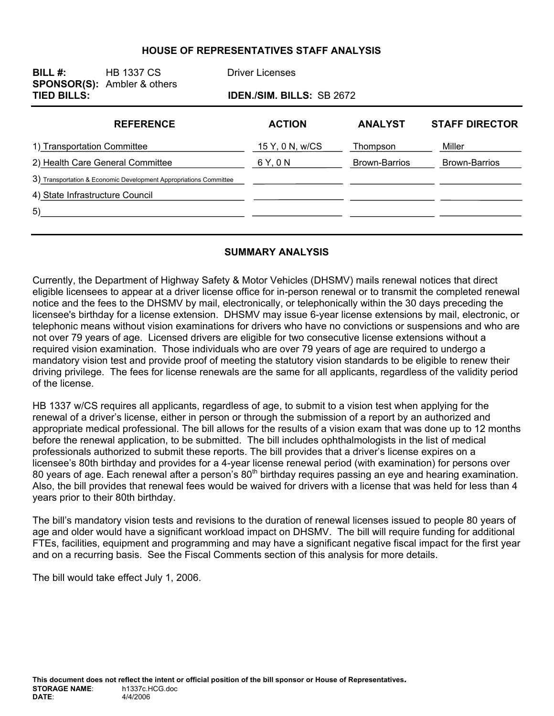#### **HOUSE OF REPRESENTATIVES STAFF ANALYSIS**

| BILL $#$ :<br><b>TIED BILLS:</b> | <b>HB 1337 CS</b><br><b>SPONSOR(S):</b> Ambler & others           | <b>Driver Licenses</b>          | IDEN./SIM. BILLS: SB 2672 |                       |  |
|----------------------------------|-------------------------------------------------------------------|---------------------------------|---------------------------|-----------------------|--|
| <b>REFERENCE</b>                 |                                                                   | <b>ACTION</b><br><b>ANALYST</b> |                           | <b>STAFF DIRECTOR</b> |  |
| 1) Transportation Committee      |                                                                   | 15 Y, 0 N, w/CS                 | Thompson                  | Miller                |  |
| 2) Health Care General Committee |                                                                   | 6 Y, 0 N                        | <b>Brown-Barrios</b>      | <b>Brown-Barrios</b>  |  |
|                                  | 3) Transportation & Economic Development Appropriations Committee |                                 |                           |                       |  |
| 4) State Infrastructure Council  |                                                                   |                                 |                           |                       |  |
| 5)                               |                                                                   |                                 |                           |                       |  |
|                                  |                                                                   |                                 |                           |                       |  |

#### **SUMMARY ANALYSIS**

Currently, the Department of Highway Safety & Motor Vehicles (DHSMV) mails renewal notices that direct eligible licensees to appear at a driver license office for in-person renewal or to transmit the completed renewal notice and the fees to the DHSMV by mail, electronically, or telephonically within the 30 days preceding the licensee's birthday for a license extension. DHSMV may issue 6-year license extensions by mail, electronic, or telephonic means without vision examinations for drivers who have no convictions or suspensions and who are not over 79 years of age. Licensed drivers are eligible for two consecutive license extensions without a required vision examination. Those individuals who are over 79 years of age are required to undergo a mandatory vision test and provide proof of meeting the statutory vision standards to be eligible to renew their driving privilege. The fees for license renewals are the same for all applicants, regardless of the validity period of the license.

HB 1337 w/CS requires all applicants, regardless of age, to submit to a vision test when applying for the renewal of a driver's license, either in person or through the submission of a report by an authorized and appropriate medical professional. The bill allows for the results of a vision exam that was done up to 12 months before the renewal application, to be submitted. The bill includes ophthalmologists in the list of medical professionals authorized to submit these reports. The bill provides that a driver's license expires on a licensee's 80th birthday and provides for a 4-year license renewal period (with examination) for persons over 80 years of age. Each renewal after a person's 80<sup>th</sup> birthday requires passing an eye and hearing examination. Also, the bill provides that renewal fees would be waived for drivers with a license that was held for less than 4 years prior to their 80th birthday.

The bill's mandatory vision tests and revisions to the duration of renewal licenses issued to people 80 years of age and older would have a significant workload impact on DHSMV. The bill will require funding for additional FTEs, facilities, equipment and programming and may have a significant negative fiscal impact for the first year and on a recurring basis. See the Fiscal Comments section of this analysis for more details.

The bill would take effect July 1, 2006.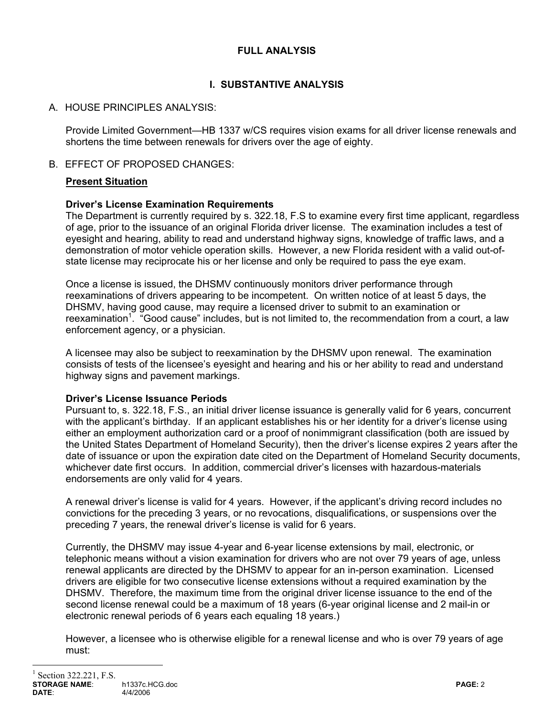## **FULL ANALYSIS**

# **I. SUBSTANTIVE ANALYSIS**

# A. HOUSE PRINCIPLES ANALYSIS:

Provide Limited Government—HB 1337 w/CS requires vision exams for all driver license renewals and shortens the time between renewals for drivers over the age of eighty.

## B. EFFECT OF PROPOSED CHANGES:

## **Present Situation**

## **Driver's License Examination Requirements**

The Department is currently required by s. 322.18, F.S to examine every first time applicant, regardless of age, prior to the issuance of an original Florida driver license. The examination includes a test of eyesight and hearing, ability to read and understand highway signs, knowledge of traffic laws, and a demonstration of motor vehicle operation skills. However, a new Florida resident with a valid out-ofstate license may reciprocate his or her license and only be required to pass the eye exam.

Once a license is issued, the DHSMV continuously monitors driver performance through reexaminations of drivers appearing to be incompetent. On written notice of at least 5 days, the DHSMV, having good cause, may require a licensed driver to submit to an examination or reexamination<sup>1</sup>. "Good cause" includes, but is not limited to, the recommendation from a court, a law enforcement agency, or a physician.

A licensee may also be subject to reexamination by the DHSMV upon renewal. The examination consists of tests of the licensee's eyesight and hearing and his or her ability to read and understand highway signs and pavement markings.

## **Driver's License Issuance Periods**

Pursuant to, s. 322.18, F.S., an initial driver license issuance is generally valid for 6 years, concurrent with the applicant's birthday. If an applicant establishes his or her identity for a driver's license using either an employment authorization card or a proof of nonimmigrant classification (both are issued by the United States Department of Homeland Security), then the driver's license expires 2 years after the date of issuance or upon the expiration date cited on the Department of Homeland Security documents, whichever date first occurs. In addition, commercial driver's licenses with hazardous-materials endorsements are only valid for 4 years.

A renewal driver's license is valid for 4 years. However, if the applicant's driving record includes no convictions for the preceding 3 years, or no revocations, disqualifications, or suspensions over the preceding 7 years, the renewal driver's license is valid for 6 years.

Currently, the DHSMV may issue 4-year and 6-year license extensions by mail, electronic, or telephonic means without a vision examination for drivers who are not over 79 years of age, unless renewal applicants are directed by the DHSMV to appear for an in-person examination. Licensed drivers are eligible for two consecutive license extensions without a required examination by the DHSMV. Therefore, the maximum time from the original driver license issuance to the end of the second license renewal could be a maximum of 18 years (6-year original license and 2 mail-in or electronic renewal periods of 6 years each equaling 18 years.)

However, a licensee who is otherwise eligible for a renewal license and who is over 79 years of age must:

 $\overline{a}$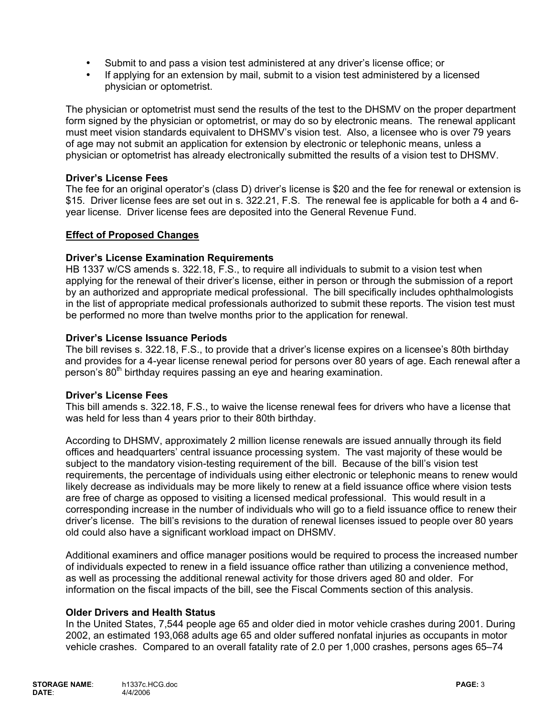- Submit to and pass a vision test administered at any driver's license office; or
- If applying for an extension by mail, submit to a vision test administered by a licensed physician or optometrist.

The physician or optometrist must send the results of the test to the DHSMV on the proper department form signed by the physician or optometrist, or may do so by electronic means. The renewal applicant must meet vision standards equivalent to DHSMV's vision test. Also, a licensee who is over 79 years of age may not submit an application for extension by electronic or telephonic means, unless a physician or optometrist has already electronically submitted the results of a vision test to DHSMV.

### **Driver's License Fees**

The fee for an original operator's (class D) driver's license is \$20 and the fee for renewal or extension is \$15. Driver license fees are set out in s. 322.21, F.S. The renewal fee is applicable for both a 4 and 6 year license. Driver license fees are deposited into the General Revenue Fund.

### **Effect of Proposed Changes**

### **Driver's License Examination Requirements**

HB 1337 w/CS amends s. 322.18, F.S., to require all individuals to submit to a vision test when applying for the renewal of their driver's license, either in person or through the submission of a report by an authorized and appropriate medical professional. The bill specifically includes ophthalmologists in the list of appropriate medical professionals authorized to submit these reports. The vision test must be performed no more than twelve months prior to the application for renewal.

### **Driver's License Issuance Periods**

The bill revises s. 322.18, F.S., to provide that a driver's license expires on a licensee's 80th birthday and provides for a 4-year license renewal period for persons over 80 years of age. Each renewal after a person's 80<sup>th</sup> birthday requires passing an eye and hearing examination.

#### **Driver's License Fees**

This bill amends s. 322.18, F.S., to waive the license renewal fees for drivers who have a license that was held for less than 4 years prior to their 80th birthday.

According to DHSMV, approximately 2 million license renewals are issued annually through its field offices and headquarters' central issuance processing system. The vast majority of these would be subject to the mandatory vision-testing requirement of the bill. Because of the bill's vision test requirements, the percentage of individuals using either electronic or telephonic means to renew would likely decrease as individuals may be more likely to renew at a field issuance office where vision tests are free of charge as opposed to visiting a licensed medical professional. This would result in a corresponding increase in the number of individuals who will go to a field issuance office to renew their driver's license. The bill's revisions to the duration of renewal licenses issued to people over 80 years old could also have a significant workload impact on DHSMV.

Additional examiners and office manager positions would be required to process the increased number of individuals expected to renew in a field issuance office rather than utilizing a convenience method, as well as processing the additional renewal activity for those drivers aged 80 and older. For information on the fiscal impacts of the bill, see the Fiscal Comments section of this analysis.

#### **Older Drivers and Health Status**

In the United States, 7,544 people age 65 and older died in motor vehicle crashes during 2001. During 2002, an estimated 193,068 adults age 65 and older suffered nonfatal injuries as occupants in motor vehicle crashes. Compared to an overall fatality rate of 2.0 per 1,000 crashes, persons ages 65–74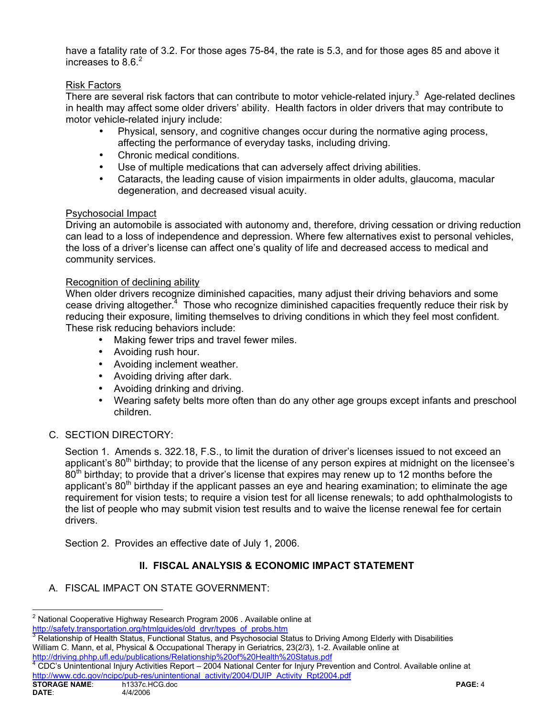have a fatality rate of 3.2. For those ages 75-84, the rate is 5.3, and for those ages 85 and above it increases to  $8.6.<sup>2</sup>$ 

## Risk Factors

There are several risk factors that can contribute to motor vehicle-related injury.<sup>3</sup> Age-related declines in health may affect some older drivers' ability. Health factors in older drivers that may contribute to motor vehicle-related injury include:

- Physical, sensory, and cognitive changes occur during the normative aging process, affecting the performance of everyday tasks, including driving.
- Chronic medical conditions.
- Use of multiple medications that can adversely affect driving abilities.
- Cataracts, the leading cause of vision impairments in older adults, glaucoma, macular degeneration, and decreased visual acuity.

## Psychosocial Impact

Driving an automobile is associated with autonomy and, therefore, driving cessation or driving reduction can lead to a loss of independence and depression. Where few alternatives exist to personal vehicles, the loss of a driver's license can affect one's quality of life and decreased access to medical and community services.

### Recognition of declining ability

When older drivers recognize diminished capacities, many adjust their driving behaviors and some cease driving altogether.<sup>4</sup> Those who recognize diminished capacities frequently reduce their risk by reducing their exposure, limiting themselves to driving conditions in which they feel most confident. These risk reducing behaviors include:

- Making fewer trips and travel fewer miles.
- Avoiding rush hour.
- Avoiding inclement weather.
- Avoiding driving after dark.
- Avoiding drinking and driving.
- Wearing safety belts more often than do any other age groups except infants and preschool children.

## C. SECTION DIRECTORY:

Section 1. Amends s. 322.18, F.S., to limit the duration of driver's licenses issued to not exceed an applicant's  $80<sup>th</sup>$  birthday; to provide that the license of any person expires at midnight on the licensee's  $80<sup>th</sup>$  birthday; to provide that a driver's license that expires may renew up to 12 months before the applicant's 80<sup>th</sup> birthday if the applicant passes an eye and hearing examination; to eliminate the age requirement for vision tests; to require a vision test for all license renewals; to add ophthalmologists to the list of people who may submit vision test results and to waive the license renewal fee for certain drivers.

Section 2. Provides an effective date of July 1, 2006.

# **II. FISCAL ANALYSIS & ECONOMIC IMPACT STATEMENT**

## A. FISCAL IMPACT ON STATE GOVERNMENT:

 $\overline{a}$ <sup>2</sup> National Cooperative Highway Research Program 2006 . Available online at http://safety.transportation.org/htmlguides/old\_drvr/types\_of\_probs.htm

<sup>&</sup>lt;sup>3</sup> Relationship of Health Status, Functional Status, and Psychosocial Status to Driving Among Elderly with Disabilities William C. Mann, et al, Physical & Occupational Therapy in Geriatrics, 23(2/3), 1-2. Available online at http://driving.phhp.ufl.edu/publications/Relationship%20of%20Health%20Status.pdf

CDC's Unintentional Injury Activities Report – 2004 National Center for Injury Prevention and Control. Available online at http://www.cdc.gov/ncipc/pub-res/unintentional\_activity/2004/DUIP\_Activity\_Rpt2004.pdf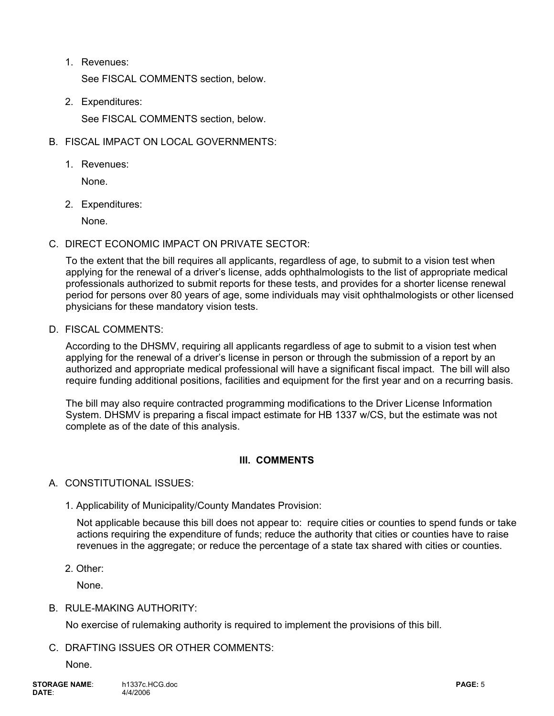1. Revenues:

See FISCAL COMMENTS section, below.

2. Expenditures:

See FISCAL COMMENTS section, below.

- B. FISCAL IMPACT ON LOCAL GOVERNMENTS:
	- 1. Revenues:

None.

2. Expenditures:

None.

C. DIRECT ECONOMIC IMPACT ON PRIVATE SECTOR:

To the extent that the bill requires all applicants, regardless of age, to submit to a vision test when applying for the renewal of a driver's license, adds ophthalmologists to the list of appropriate medical professionals authorized to submit reports for these tests, and provides for a shorter license renewal period for persons over 80 years of age, some individuals may visit ophthalmologists or other licensed physicians for these mandatory vision tests.

D. FISCAL COMMENTS:

According to the DHSMV, requiring all applicants regardless of age to submit to a vision test when applying for the renewal of a driver's license in person or through the submission of a report by an authorized and appropriate medical professional will have a significant fiscal impact. The bill will also require funding additional positions, facilities and equipment for the first year and on a recurring basis.

The bill may also require contracted programming modifications to the Driver License Information System. DHSMV is preparing a fiscal impact estimate for HB 1337 w/CS, but the estimate was not complete as of the date of this analysis.

# **III. COMMENTS**

## A. CONSTITUTIONAL ISSUES:

1. Applicability of Municipality/County Mandates Provision:

Not applicable because this bill does not appear to: require cities or counties to spend funds or take actions requiring the expenditure of funds; reduce the authority that cities or counties have to raise revenues in the aggregate; or reduce the percentage of a state tax shared with cities or counties.

2. Other:

None.

## B. RULE-MAKING AUTHORITY:

No exercise of rulemaking authority is required to implement the provisions of this bill.

# C. DRAFTING ISSUES OR OTHER COMMENTS:

None.